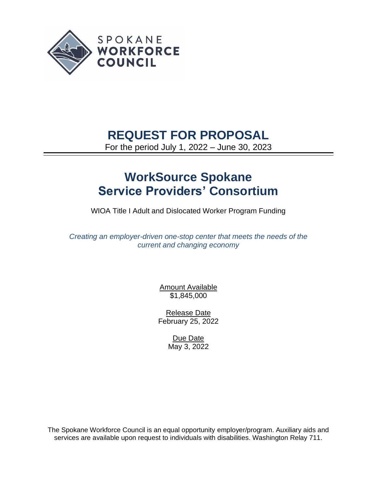

## **REQUEST FOR PROPOSAL**

For the period July 1, 2022 – June 30, 2023

# **WorkSource Spokane Service Providers' Consortium**

WIOA Title I Adult and Dislocated Worker Program Funding

*Creating an employer-driven one-stop center that meets the needs of the current and changing economy*

> **Amount Available** \$1,845,000

Release Date February 25, 2022

> Due Date May 3, 2022

The Spokane Workforce Council is an equal opportunity employer/program. Auxiliary aids and services are available upon request to individuals with disabilities. Washington Relay 711.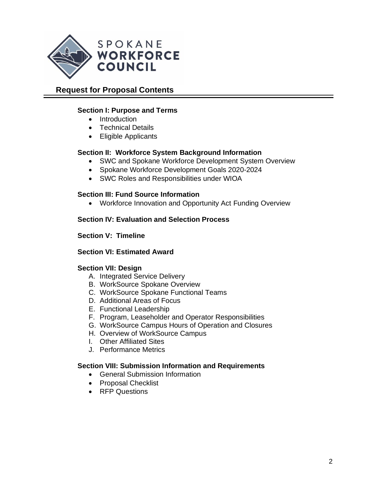

## **Request for Proposal Contents**

#### **Section I: Purpose and Terms**

- Introduction
- Technical Details
- Eligible Applicants

#### **Section II: Workforce System Background Information**

- SWC and Spokane Workforce Development System Overview
- Spokane Workforce Development Goals 2020-2024
- SWC Roles and Responsibilities under WIOA

#### **Section III: Fund Source Information**

• Workforce Innovation and Opportunity Act Funding Overview

#### **Section IV: Evaluation and Selection Process**

#### **Section V: Timeline**

#### **Section VI: Estimated Award**

#### **Section VII: Design**

- A. Integrated Service Delivery
- B. WorkSource Spokane Overview
- C. WorkSource Spokane Functional Teams
- D. Additional Areas of Focus
- E. Functional Leadership
- F. Program, Leaseholder and Operator Responsibilities
- G. WorkSource Campus Hours of Operation and Closures
- H. Overview of WorkSource Campus
- I. Other Affiliated Sites
- J. Performance Metrics

#### **Section VIII: Submission Information and Requirements**

- General Submission Information
- Proposal Checklist
- RFP Questions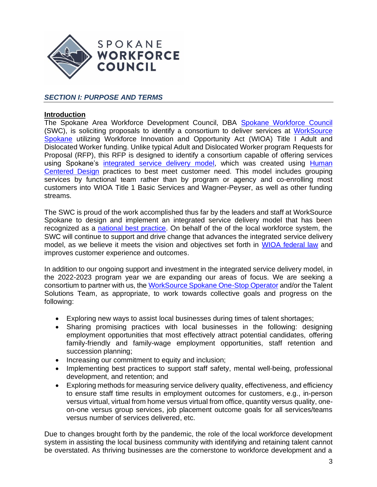

## *SECTION I: PURPOSE AND TERMS*

#### **Introduction**

The Spokane Area Workforce Development Council, DBA [Spokane Workforce Council](https://spokaneworkforce.org/) (SWC), is soliciting proposals to identify a consortium to deliver services at [WorkSource](https://worksourcespokane.com/)  [Spokane](https://worksourcespokane.com/) utilizing Workforce Innovation and Opportunity Act (WIOA) Title I Adult and Dislocated Worker funding. Unlike typical Adult and Dislocated Worker program Requests for Proposal (RFP), this RFP is designed to identify a consortium capable of offering services using Spokane's [integrated service delivery model,](https://spokaneworkforce.org/human-centered-design/) which was created using [Human](https://spokaneworkforce.org/human-centered-design/)  [Centered](https://spokaneworkforce.org/human-centered-design/) Design practices to best meet customer need. This model includes grouping services by functional team rather than by program or agency and co-enrolling most customers into WIOA Title 1 Basic Services and Wagner-Peyser, as well as other funding streams.

The SWC is proud of the work accomplished thus far by the leaders and staff at WorkSource Spokane to design and implement an integrated service delivery model that has been recognized as a [national best practice.](https://spokaneworkforce.org/featured/spokane-workforce-council-recipient-of-2020-wioa-trailblazer-award-from-the-national-association-of-workforce-boards/) On behalf of the of the local workforce system, the SWC will continue to support and drive change that advances the integrated service delivery model, as we believe it meets the vision and objectives set forth in [WIOA federal law](https://www.govinfo.gov/content/pkg/PLAW-113publ128/pdf/PLAW-113publ128.pdf) and improves customer experience and outcomes.

In addition to our ongoing support and investment in the integrated service delivery model, in the 2022-2023 program year we are expanding our areas of focus. We are seeking a consortium to partner with us, the [WorkSource Spokane One-Stop Operator](https://spokaneworkforce.org/workforce-resources/rfp/) and/or the Talent Solutions Team, as appropriate, to work towards collective goals and progress on the following:

- Exploring new ways to assist local businesses during times of talent shortages;
- Sharing promising practices with local businesses in the following: designing employment opportunities that most effectively attract potential candidates, offering family-friendly and family-wage employment opportunities, staff retention and succession planning;
- Increasing our commitment to equity and inclusion;
- Implementing best practices to support staff safety, mental well-being, professional development, and retention; and
- Exploring methods for measuring service delivery quality, effectiveness, and efficiency to ensure staff time results in employment outcomes for customers, e.g., in-person versus virtual, virtual from home versus virtual from office, quantity versus quality, oneon-one versus group services, job placement outcome goals for all services/teams versus number of services delivered, etc.

Due to changes brought forth by the pandemic, the role of the local workforce development system in assisting the local business community with identifying and retaining talent cannot be overstated. As thriving businesses are the cornerstone to workforce development and a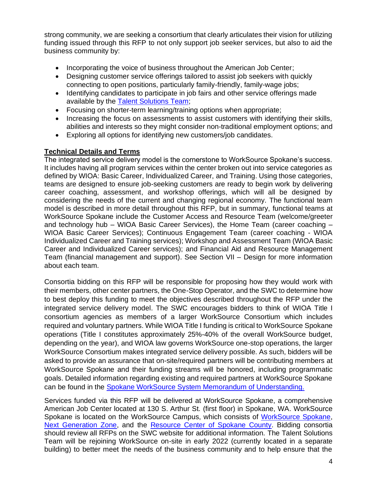strong community, we are seeking a consortium that clearly articulates their vision for utilizing funding issued through this RFP to not only support job seeker services, but also to aid the business community by:

- Incorporating the voice of business throughout the American Job Center;
- Designing customer service offerings tailored to assist job seekers with quickly connecting to open positions, particularly family-friendly, family-wage jobs;
- Identifying candidates to participate in job fairs and other service offerings made available by the **Talent Solutions Team**;
- Focusing on shorter-term learning/training options when appropriate;
- Increasing the focus on assessments to assist customers with identifying their skills, abilities and interests so they might consider non-traditional employment options; and
- Exploring all options for identifying new customers/job candidates.

## **Technical Details and Terms**

The integrated service delivery model is the cornerstone to WorkSource Spokane's success. It includes having all program services within the center broken out into service categories as defined by WIOA: Basic Career, Individualized Career, and Training. Using those categories, teams are designed to ensure job-seeking customers are ready to begin work by delivering career coaching, assessment, and workshop offerings, which will all be designed by considering the needs of the current and changing regional economy. The functional team model is described in more detail throughout this RFP, but in summary, functional teams at WorkSource Spokane include the Customer Access and Resource Team (welcome/greeter and technology hub – WIOA Basic Career Services), the Home Team (career coaching – WIOA Basic Career Services); Continuous Engagement Team (career coaching - WIOA Individualized Career and Training services); Workshop and Assessment Team (WIOA Basic Career and Individualized Career services); and Financial Aid and Resource Management Team (financial management and support). See Section VII – Design for more information about each team.

Consortia bidding on this RFP will be responsible for proposing how they would work with their members, other center partners, the One-Stop Operator, and the SWC to determine how to best deploy this funding to meet the objectives described throughout the RFP under the integrated service delivery model. The SWC encourages bidders to think of WIOA Title I consortium agencies as members of a larger WorkSource Consortium which includes required and voluntary partners. While WIOA Title I funding is critical to WorkSource Spokane operations (Title I constitutes approximately 25%-40% of the overall WorkSource budget, depending on the year), and WIOA law governs WorkSource one-stop operations, the larger WorkSource Consortium makes integrated service delivery possible. As such, bidders will be asked to provide an assurance that on-site/required partners will be contributing members at WorkSource Spokane and their funding streams will be honored, including programmatic goals. Detailed information regarding existing and required partners at WorkSource Spokane can be found in the [Spokane WorkSource System Memorandum of Understanding.](https://spokaneworkforce.org/workforce-resources/plans-mous/)

Services funded via this RFP will be delivered at WorkSource Spokane, a comprehensive American Job Center located at 130 S. Arthur St. (first floor) in Spokane, WA. WorkSource Spokane is located on the WorkSource Campus, which consists of [WorkSource Spokane,](https://worksourcespokane.com/) [Next Generation Zone,](https://nextgenzone.org/) and [the](https://my.spokanecity.org/news/stories/2018/10/24/envision-center-opening-in-january/) [Resource Center of Spokane County.](https://spokaneresourcecenter.org/) Bidding consortia should review all RFPs on the SWC website for additional information. The Talent Solutions Team will be rejoining WorkSource on-site in early 2022 (currently located in a separate building) to better meet the needs of the business community and to help ensure that the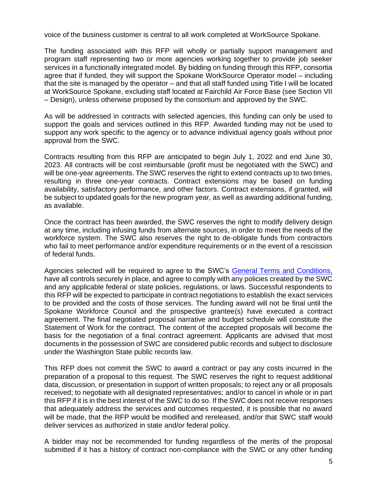voice of the business customer is central to all work completed at WorkSource Spokane.

The funding associated with this RFP will wholly or partially support management and program staff representing two or more agencies working together to provide job seeker services in a functionally integrated model. By bidding on funding through this RFP, consortia agree that if funded, they will support the Spokane [WorkSource Operator](https://wdcspokane.com/core/files/wdcspokane/uploads/files/One%20Stop%20Operator%20R1.pdf) model – including that the site is managed by the operator – and that all staff funded using Title I will be located at WorkSource Spokane, excluding staff located at Fairchild Air Force Base (see Section VII – Design), unless otherwise proposed by the consortium and approved by the SWC.

As will be addressed in contracts with selected agencies, this funding can only be used to support the goals and services outlined in this RFP. Awarded funding may not be used to support any work specific to the agency or to advance individual agency goals without prior approval from the SWC.

Contracts resulting from this RFP are anticipated to begin July 1, 2022 and end June 30, 2023. All contracts will be cost reimbursable (profit must be negotiated with the SWC) and will be one-year agreements. The SWC reserves the right to extend contracts up to two times, resulting in three one-year contracts. Contract extensions may be based on funding availability, satisfactory performance, and other factors. Contract extensions, if granted, will be subject to updated goals for the new program year, as well as awarding additional funding, as available.

Once the contract has been awarded, the SWC reserves the right to modify delivery design at any time, including infusing funds from alternate sources, in order to meet the needs of the workforce system. The SWC also reserves the right to de-obligate funds from contractors who fail to meet performance and/or expenditure requirements or in the event of a rescission of federal funds.

Agencies selected will be required to agree to the SWC's [General Terms and Conditions,](https://spokaneworkforce.org/wp-content/uploads/2022/01/Current-WIOA-Grant-General-Terms-and-Conditions.pdf) have all controls securely in place, and agree to comply with any policies created by the SWC and any applicable federal or state policies, regulations, or laws. Successful respondents to this RFP will be expected to participate in contract negotiations to establish the exact services to be provided and the costs of those services. The funding award will not be final until the Spokane Workforce Council and the prospective grantee(s) have executed a contract agreement. The final negotiated proposal narrative and budget schedule will constitute the Statement of Work for the contract. The content of the accepted proposals will become the basis for the negotiation of a final contract agreement. Applicants are advised that most documents in the possession of SWC are considered public records and subject to disclosure under the Washington State public records law.

This RFP does not commit the SWC to award a contract or pay any costs incurred in the preparation of a proposal to this request. The SWC reserves the right to request additional data, discussion, or presentation in support of written proposals; to reject any or all proposals received; to negotiate with all designated representatives; and/or to cancel in whole or in part this RFP if it is in the best interest of the SWC to do so. If the SWC does not receive responses that adequately address the services and outcomes requested, it is possible that no award will be made, that the RFP would be modified and rereleased, and/or that SWC staff would deliver services as authorized in state and/or federal policy.

A bidder may not be recommended for funding regardless of the merits of the proposal submitted if it has a history of contract non-compliance with the SWC or any other funding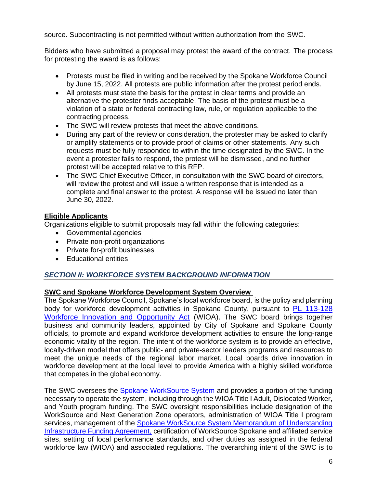source. Subcontracting is not permitted without written authorization from the SWC.

Bidders who have submitted a proposal may protest the award of the contract. The process for protesting the award is as follows:

- Protests must be filed in writing and be received by the Spokane Workforce Council by June 15, 2022. All protests are public information after the protest period ends.
- All protests must state the basis for the protest in clear terms and provide an alternative the protester finds acceptable. The basis of the protest must be a violation of a state or federal contracting law, rule, or regulation applicable to the contracting process.
- The SWC will review protests that meet the above conditions.
- During any part of the review or consideration, the protester may be asked to clarify or amplify statements or to provide proof of claims or other statements. Any such requests must be fully responded to within the time designated by the SWC. In the event a protester fails to respond, the protest will be dismissed, and no further protest will be accepted relative to this RFP.
- The SWC Chief Executive Officer, in consultation with the SWC board of directors, will review the protest and will issue a written response that is intended as a complete and final answer to the protest. A response will be issued no later than June 30, 2022.

## **Eligible Applicants**

Organizations eligible to submit proposals may fall within the following categories:

- Governmental agencies
- Private non-profit organizations
- Private for-profit businesses
- Educational entities

## *SECTION II: WORKFORCE SYSTEM BACKGROUND INFORMATION*

## **SWC and Spokane Workforce Development System Overview**

The Spokane Workforce Council, Spokane's local workforce board, is the policy and planning body for workforce development activities in Spokane County, pursuant to [PL 113-128](https://www.govinfo.gov/content/pkg/PLAW-113publ128/pdf/PLAW-113publ128.pdf)  [Workforce Innovation and Opportunity Act](https://www.govinfo.gov/content/pkg/PLAW-113publ128/pdf/PLAW-113publ128.pdf) (WIOA). The SWC board brings together business and community leaders, appointed by City of Spokane and Spokane County officials, to promote and expand workforce development activities to ensure the long-range economic vitality of the region. The intent of the workforce system is to provide an effective, locally-driven model that offers public- and private-sector leaders programs and resources to meet the unique needs of the regional labor market. Local boards drive innovation in workforce development at the local level to provide America with a highly skilled workforce that competes in the global economy.

The SWC oversees the [Spokane WorkSource System](https://spokaneworkforce.org/job-seeker-resources) and provides a portion of the funding necessary to operate the system, including through the WIOA Title I Adult, Dislocated Worker, and Youth program funding. The SWC oversight responsibilities include designation of the WorkSource and Next Generation Zone operators, administration of WIOA Title I program services, management of the Spokane WorkSource System Memorandum of Understanding [Infrastructure Funding Agreement,](https://spokaneworkforce.org/workforce-resources/plans-mous/) certification of WorkSource Spokane and affiliated service sites, setting of local performance standards, and other duties as assigned in the federal workforce law (WIOA) and associated regulations. The overarching intent of the SWC is to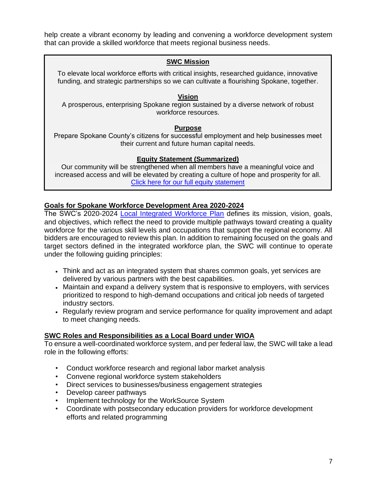help create a vibrant economy by leading and convening a workforce development system that can provide a skilled workforce that meets regional business needs.

#### **SWC Mission**

To elevate local workforce efforts with critical insights, researched guidance, innovative funding, and strategic partnerships so we can cultivate a flourishing Spokane, together.

#### **Vision**

A prosperous, enterprising Spokane region sustained by a diverse network of robust workforce resources.

#### **Purpose**

Prepare Spokane County's citizens for successful employment and help businesses meet their current and future human capital needs.

## **Equity Statement (Summarized)**

Our community will be strengthened when all members have a meaningful voice and increased access and will be elevated by creating a culture of hope and prosperity for all. [Click here for our full equity statement](https://spokaneworkforce.org/about-spokane-workforce-council/dei/)

## **Goals for Spokane Workforce Development Area 2020-2024**

The SWC's 2020-2024 **[Local Integrated Workforce Plan](https://spokaneworkforce.org/workforce-resources/plans-mous/) defines its mission**, vision, goals, and objectives, which reflect the need to provide multiple pathways toward creating a quality workforce for the various skill levels and occupations that support the regional economy. All bidders are encouraged to review this plan. In addition to remaining focused on the goals and target sectors defined in the integrated workforce plan, the SWC will continue to operate under the following guiding principles:

- Think and act as an integrated system that shares common goals, yet services are delivered by various partners with the best capabilities.
- Maintain and expand a delivery system that is responsive to employers, with services prioritized to respond to high-demand occupations and critical job needs of targeted industry sectors.
- Regularly review program and service performance for quality improvement and adapt to meet changing needs.

## **SWC Roles and Responsibilities as a Local Board under WIOA**

To ensure a well-coordinated workforce system, and per federal law, the SWC will take a lead role in the following efforts:

- Conduct workforce research and regional labor market analysis
- Convene regional workforce system stakeholders
- Direct services to businesses/business engagement strategies
- Develop career pathways
- Implement technology for the WorkSource System
- Coordinate with postsecondary education providers for workforce development efforts and related programming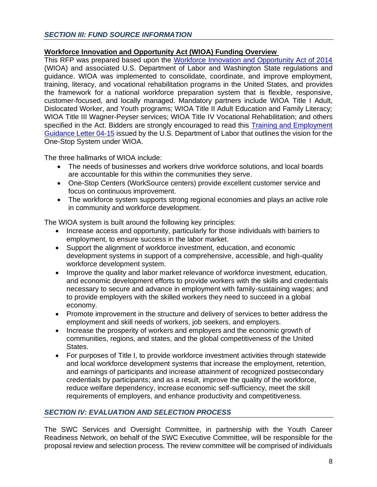## **Workforce Innovation and Opportunity Act (WIOA) Funding Overview**

This RFP was prepared based upon the [Workforce Innovation and Opportunity Act of 2014](https://www.doleta.gov/wioa/) (WIOA) and associated U.S. Department of Labor and Washington State regulations and guidance. WIOA was implemented to consolidate, coordinate, and improve employment, training, literacy, and vocational rehabilitation programs in the United States, and provides the framework for a national workforce preparation system that is flexible, responsive, customer-focused, and locally managed. Mandatory partners include WIOA Title I Adult, Dislocated Worker, and Youth programs; WIOA Title II Adult Education and Family Literacy; WIOA Title III Wagner-Peyser services; WIOA Title IV Vocational Rehabilitation; and others specified in the Act. Bidders are strongly encouraged to read this Training and Employment [Guidance Letter](https://wdr.doleta.gov/directives/corr_doc.cfm?DOCN=6455) 04-15 issued by the U.S. Department of Labor that outlines the vision for the One-Stop System under WIOA.

The three hallmarks of WIOA include:

- The needs of businesses and workers drive workforce solutions, and local boards are accountable for this within the communities they serve.
- One-Stop Centers (WorkSource centers) provide excellent customer service and focus on continuous improvement.
- The workforce system supports strong regional economies and plays an active role in community and workforce development.

The WIOA system is built around the following key principles:

- Increase access and opportunity, particularly for those individuals with barriers to employment, to ensure success in the labor market.
- Support the alignment of workforce investment, education, and economic development systems in support of a comprehensive, accessible, and high-quality workforce development system.
- Improve the quality and labor market relevance of workforce investment, education, and economic development efforts to provide workers with the skills and credentials necessary to secure and advance in employment with family-sustaining wages; and to provide employers with the skilled workers they need to succeed in a global economy.
- Promote improvement in the structure and delivery of services to better address the employment and skill needs of workers, job seekers, and employers.
- Increase the prosperity of workers and employers and the economic growth of communities, regions, and states, and the global competitiveness of the United States.
- For purposes of Title I, to provide workforce investment activities through statewide and local workforce development systems that increase the employment, retention, and earnings of participants and increase attainment of recognized postsecondary credentials by participants; and as a result, improve the quality of the workforce, reduce welfare dependency, increase economic self-sufficiency, meet the skill requirements of employers, and enhance productivity and competitiveness.

## *SECTION IV: EVALUATION AND SELECTION PROCESS*

The SWC Services and Oversight Committee, in partnership with the Youth Career Readiness Network, on behalf of the SWC Executive Committee, will be responsible for the proposal review and selection process. The review committee will be comprised of individuals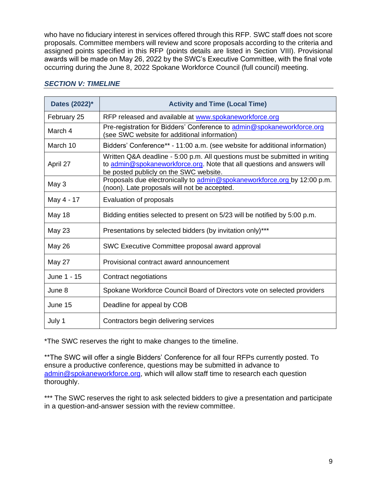who have no fiduciary interest in services offered through this RFP. SWC staff does not score proposals. Committee members will review and score proposals according to the criteria and assigned points specified in this RFP (points details are listed in Section VIII). Provisional awards will be made on May 26, 2022 by the SWC's Executive Committee, with the final vote occurring during the June 8, 2022 Spokane Workforce Council (full council) meeting.

| Dates (2022)* | <b>Activity and Time (Local Time)</b>                                                                                                                                                            |
|---------------|--------------------------------------------------------------------------------------------------------------------------------------------------------------------------------------------------|
| February 25   | RFP released and available at www.spokaneworkforce.org                                                                                                                                           |
| March 4       | Pre-registration for Bidders' Conference to admin@spokaneworkforce.org<br>(see SWC website for additional information)                                                                           |
| March 10      | Bidders' Conference** - 11:00 a.m. (see website for additional information)                                                                                                                      |
| April 27      | Written Q&A deadline - 5:00 p.m. All questions must be submitted in writing<br>to admin@spokaneworkforce.org. Note that all questions and answers will<br>be posted publicly on the SWC website. |
| May 3         | Proposals due electronically to admin@spokaneworkforce.org by 12:00 p.m.<br>(noon). Late proposals will not be accepted.                                                                         |
| May 4 - 17    | Evaluation of proposals                                                                                                                                                                          |
| May 18        | Bidding entities selected to present on 5/23 will be notified by 5:00 p.m.                                                                                                                       |
| May 23        | Presentations by selected bidders (by invitation only)***                                                                                                                                        |
| <b>May 26</b> | SWC Executive Committee proposal award approval                                                                                                                                                  |
| May 27        | Provisional contract award announcement                                                                                                                                                          |
| June 1 - 15   | Contract negotiations                                                                                                                                                                            |
| June 8        | Spokane Workforce Council Board of Directors vote on selected providers                                                                                                                          |
| June 15       | Deadline for appeal by COB                                                                                                                                                                       |
| July 1        | Contractors begin delivering services                                                                                                                                                            |

#### *SECTION V: TIMELINE*

\*The SWC reserves the right to make changes to the timeline.

\*\*The SWC will offer a single Bidders' Conference for all four RFPs currently posted. To ensure a productive conference, questions may be submitted in advance to [admin@spokaneworkforce.org,](mailto:admin@spokaneworkforce.org) which will allow staff time to research each question thoroughly.

\*\*\* The SWC reserves the right to ask selected bidders to give a presentation and participate in a question-and-answer session with the review committee.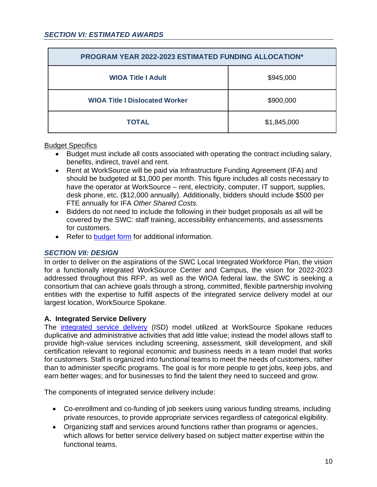| <b>PROGRAM YEAR 2022-2023 ESTIMATED FUNDING ALLOCATION*</b> |             |  |
|-------------------------------------------------------------|-------------|--|
| <b>WIOA Title I Adult</b>                                   | \$945,000   |  |
| <b>WIOA Title I Dislocated Worker</b>                       | \$900,000   |  |
| <b>TOTAL</b>                                                | \$1,845,000 |  |

#### Budget Specifics

- Budget must include all costs associated with operating the contract including salary, benefits, indirect, travel and rent.
- Rent at WorkSource will be paid via Infrastructure Funding Agreement (IFA) and should be budgeted at \$1,000 per month. This figure includes all costs necessary to have the operator at WorkSource – rent, electricity, computer, IT support, supplies, desk phone, etc. (\$12,000 annually). Additionally, bidders should include \$500 per FTE annually for IFA *Other Shared Costs.*
- Bidders do not need to include the following in their budget proposals as all will be covered by the SWC: staff training, accessibility enhancements, and assessments for customers.
- Refer to [budget form](https://spokaneworkforce.org/wp-content/uploads/2022/01/Sub-budget-template-With-Direct-Client-Services.xlsx) for additional information.

## *SECTION VII: DESIGN*

In order to deliver on the aspirations of the SWC Local Integrated Workforce Plan, the vision for a functionally integrated WorkSource Center and Campus, the vision for 2022-2023 addressed throughout this RFP, as well as the WIOA federal law, the SWC is seeking a consortium that can achieve goals through a strong, committed, flexible partnership involving entities with the expertise to fulfill aspects of the integrated service delivery model at our largest location, WorkSource Spokane.

## **A. Integrated Service Delivery**

The [integrated service delivery](https://spokaneworkforce.org/human-centered-design/) (ISD) model utilized at WorkSource Spokane reduces duplicative and administrative activities that add little value; instead the model allows staff to provide high-value services including screening, assessment, skill development, and skill certification relevant to regional economic and business needs in a team model that works for customers. Staff is organized into functional teams to meet the needs of customers, rather than to administer specific programs. The goal is for more people to get jobs, keep jobs, and earn better wages; and for businesses to find the talent they need to succeed and grow.

The components of integrated service delivery include:

- Co-enrollment and co-funding of job seekers using various funding streams, including private resources, to provide appropriate services regardless of categorical eligibility.
- Organizing staff and services around functions rather than programs or agencies, which allows for better service delivery based on subject matter expertise within the functional teams.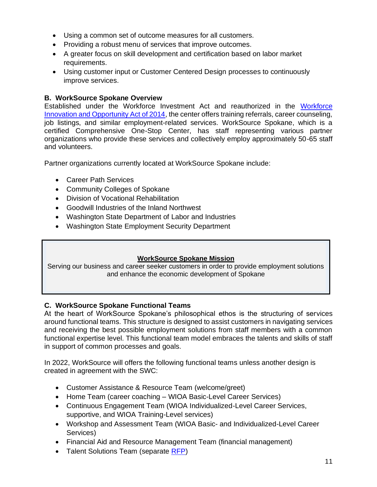- Using a common set of outcome measures for all customers.
- Providing a robust menu of services that improve outcomes.
- A greater focus on skill development and certification based on labor market requirements.
- Using customer input or Customer Centered Design processes to continuously improve services.

## **B. WorkSource Spokane Overview**

Established under the Workforce Investment Act and reauthorized in the [Workforce](https://www.doleta.gov/wioa/)  [Innovation and Opportunity Act of 2014,](https://www.doleta.gov/wioa/) the center offers training referrals, career counseling, job listings, and similar employment-related services. WorkSource Spokane, which is a certified Comprehensive One-Stop Center, has staff representing various partner organizations who provide these services and collectively employ approximately 50-65 staff and volunteers.

Partner organizations currently located at WorkSource Spokane include:

- Career Path Services
- Community Colleges of Spokane
- Division of Vocational Rehabilitation
- Goodwill Industries of the Inland Northwest
- Washington State Department of Labor and Industries
- Washington State Employment Security Department

## **WorkSource Spokane Mission**

Serving our business and career seeker customers in order to provide employment solutions and enhance the economic development of Spokane

## **C. WorkSource Spokane Functional Teams**

At the heart of WorkSource Spokane's philosophical ethos is the structuring of services around functional teams. This structure is designed to assist customers in navigating services and receiving the best possible employment solutions from staff members with a common functional expertise level. This functional team model embraces the talents and skills of staff in support of common processes and goals.

In 2022, WorkSource will offers the following functional teams unless another design is created in agreement with the SWC:

- Customer Assistance & Resource Team (welcome/greet)
- Home Team (career coaching WIOA Basic-Level Career Services)
- Continuous Engagement Team (WIOA Individualized-Level Career Services, supportive, and WIOA Training-Level services)
- Workshop and Assessment Team (WIOA Basic- and Individualized-Level Career Services)
- Financial Aid and Resource Management Team (financial management)
- Talent Solutions Team (separate [RFP\)](https://spokaneworkforce.org/workforce-resources/rfp/)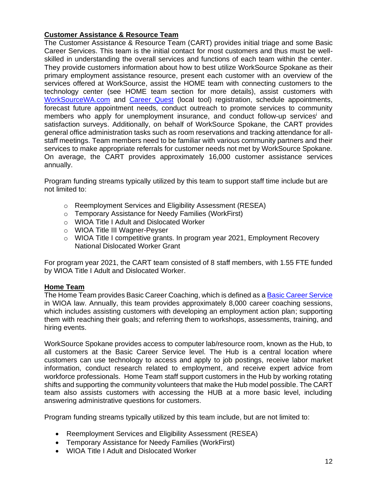## **Customer Assistance & Resource Team**

The Customer Assistance & Resource Team (CART) provides initial triage and some Basic Career Services. This team is the initial contact for most customers and thus must be wellskilled in understanding the overall services and functions of each team within the center. They provide customers information about how to best utilize WorkSource Spokane as their primary employment assistance resource, present each customer with an overview of the services offered at WorkSource, assist the HOME team with connecting customers to the technology center (see HOME team section for more details), assist customers with [WorkSourceWA.com](https://worksourcewa.com/) and [Career Quest](https://worksourcespokane.com/career-quest) (local tool) registration, schedule appointments, forecast future appointment needs, conduct outreach to promote services to community members who apply for unemployment insurance, and conduct follow-up services<sup>i</sup> and satisfaction surveys. Additionally, on behalf of WorkSource Spokane, the CART provides general office administration tasks such as room reservations and tracking attendance for allstaff meetings. Team members need to be familiar with various community partners and their services to make appropriate referrals for customer needs not met by WorkSource Spokane. On average, the CART provides approximately 16,000 customer assistance services annually.

Program funding streams typically utilized by this team to support staff time include but are not limited to:

- <span id="page-11-0"></span>o Reemployment Services and Eligibility Assessment (RESEA)
- o Temporary Assistance for Needy Families (WorkFirst)
- o WIOA Title I Adult and Dislocated Worker
- o WIOA Title III Wagner-Peyser
- o WIOA Title I competitive grants. In program year 2021, Employment Recovery National Dislocated Worker Grant

For program year 2021, the CART team consisted of 8 staff members, with 1.55 FTE funded by WIOA Title I Adult and Dislocated Worker.

## **Home Team**

The Home Team provides Basic Career Coaching, which is defined as a [Basic Career Service](https://wdr.doleta.gov/directives/attach/TEGL/TEGL_03-15_Acc.pdf) in WIOA law. Annually, this team provides approximately 8,000 career coaching sessions, which includes assisting customers with developing an employment action plan; supporting them with reaching their goals; and referring them to workshops, assessments, training, and hiring events.

WorkSource Spokane provides access to computer lab/resource room, known as the Hub, to all customers at the Basic Career Service level. The Hub is a central location where customers can use technology to access and apply to job postings, receive labor market information, conduct research related to employment, and receive expert advice from workforce professionals. Home Team staff support customers in the Hub by working rotating shifts and supporting the community volunteers that make the Hub model possible. The CART team also assists customers with accessing the HUB at a more basic level, including answering administrative questions for customers.

Program funding streams typically utilized by this team include, but are not limited to:

- Reemployment Services and Eligibility Assessment (RESEA)
- Temporary Assistance for Needy Families (WorkFirst)
- WIOA Title I Adult and Dislocated Worker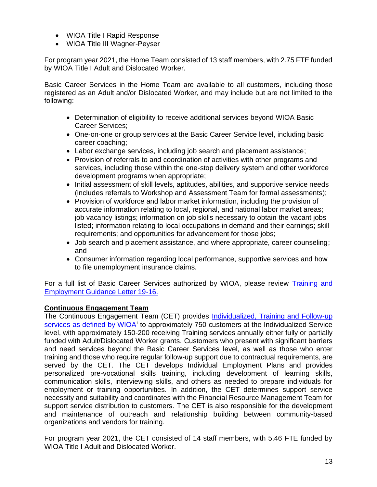- WIOA Title I Rapid Response
- WIOA Title III Wagner-Peyser

For program year 2021, the Home Team consisted of 13 staff members, with 2.75 FTE funded by WIOA Title I Adult and Dislocated Worker.

Basic Career Services in the Home Team are available to all customers, including those registered as an Adult and/or Dislocated Worker, and may include but are not limited to the following:

- Determination of eligibility to receive additional services beyond WIOA Basic Career Services;
- One-on-one or group services at the Basic Career Service level, including basic career coaching;
- Labor exchange services, including job search and placement assistance;
- Provision of referrals to and coordination of activities with other programs and services, including those within the one-stop delivery system and other workforce development programs when appropriate;
- Initial assessment of skill levels, aptitudes, abilities, and supportive service needs (includes referrals to Workshop and Assessment Team for formal assessments);
- Provision of workforce and labor market information, including the provision of accurate information relating to local, regional, and national labor market areas; job vacancy listings; information on job skills necessary to obtain the vacant jobs listed; information relating to local occupations in demand and their earnings; skill requirements; and opportunities for advancement for those jobs;
- Job search and placement assistance, and where appropriate, career counseling; and
- Consumer information regarding local performance, supportive services and how to file unemployment insurance claims.

For a full list of Basic Career Services authorized by WIOA, please review Training and [Employment Guidance Letter 19-16.](https://wdr.doleta.gov/directives/corr_doc.cfm?DOCN=3851)

## **Continuous Engagement Team**

The Continuous Engagement Team (CET) provides [Individualized, Training and Follow-up](https://wdr.doleta.gov/directives/attach/TEGL/TEGL_03-15_Acc.pdf)  [services as defined by WIOA](https://wdr.doleta.gov/directives/attach/TEGL/TEGL_03-15_Acc.pdf)<sup>i</sup> to approximately 750 customers at the Individualized Service level, with approximately 150-200 receiving Training services annually either fully or partially funded with Adult/Dislocated Worker grants. Customers who present with significant barriers and need services beyond the Basic Career Services level, as well as those who enter training and those who require regular follow-up support due to contractual requirements, are served by the CET. The CET develops Individual Employment Plans and provides personalized pre-vocational skills training, including development of learning skills, communication skills, interviewing skills, and others as needed to prepare individuals for employment or training opportunities. In addition, the CET determines support service necessity and suitability and coordinates with the Financial Resource Management Team for support service distribution to customers. The CET is also responsible for the development and maintenance of outreach and relationship building between community-based organizations and vendors for training.

For program year 2021, the CET consisted of 14 staff members, with 5.46 FTE funded by WIOA Title I Adult and Dislocated Worker.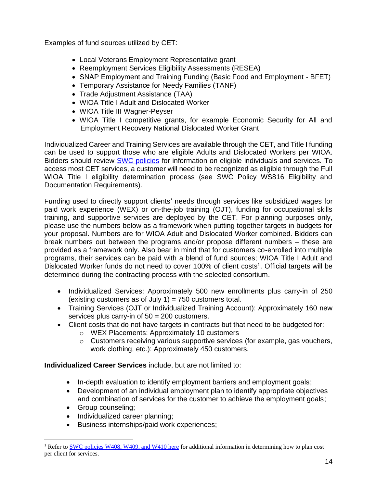Examples of fund sources utilized by CET:

- Local Veterans Employment Representative grant
- Reemployment Services Eligibility Assessments (RESEA)
- SNAP Employment and Training Funding (Basic Food and Employment BFET)
- Temporary Assistance for Needy Families (TANF)
- Trade Adjustment Assistance (TAA)
- WIOA Title I Adult and Dislocated Worker
- WIOA Title III Wagner-Peyser
- WIOA Title I competitive grants, for example Economic Security for All and Employment Recovery National Dislocated Worker Grant

Individualized Career and Training Services are available through the CET, and Title I funding can be used to support those who are eligible Adults and Dislocated Workers per WIOA. Bidders should review [SWC policies](https://spokaneworkforce.org/workforce-resources/policies/) for information on eligible individuals and services. To access most CET services, a customer will need to be recognized as eligible through the Full WIOA Title I eligibility determination process (see SWC Policy WS816 Eligibility and Documentation Requirements).

Funding used to directly support clients' needs through services like subsidized wages for paid work experience (WEX) or on-the-job training (OJT), funding for occupational skills training, and supportive services are deployed by the CET. For planning purposes only, please use the numbers below as a framework when putting together targets in budgets for your proposal. Numbers are for WIOA Adult and Dislocated Worker combined. Bidders can break numbers out between the programs and/or propose different numbers – these are provided as a framework only. Also bear in mind that for customers co-enrolled into multiple programs, their services can be paid with a blend of fund sources; WIOA Title I Adult and Dislocated Worker funds do not need to cover 100% of client costs<sup>1</sup>. Official targets will be determined during the contracting process with the selected consortium.

- Individualized Services: Approximately 500 new enrollments plus carry-in of 250 (existing customers as of July 1) =  $750$  customers total.
- Training Services (OJT or Individualized Training Account): Approximately 160 new services plus carry-in of 50 = 200 customers.
- Client costs that do not have targets in contracts but that need to be budgeted for:
	- o WEX Placements: Approximately 10 customers
	- o Customers receiving various supportive services (for example, gas vouchers, work clothing, etc.): Approximately 450 customers.

**Individualized Career Services** include, but are not limited to:

- In-depth evaluation to identify employment barriers and employment goals;
- Development of an individual employment plan to identify appropriate objectives and combination of services for the customer to achieve the employment goals;
- Group counseling;
- Individualized career planning;
- Business internships/paid work experiences;

<sup>&</sup>lt;sup>1</sup> Refer t[o SWC policies W408, W409, and W410 here](https://spokaneworkforce.org/workforce-resources/policies/) for additional information in determining how to plan cost per client for services.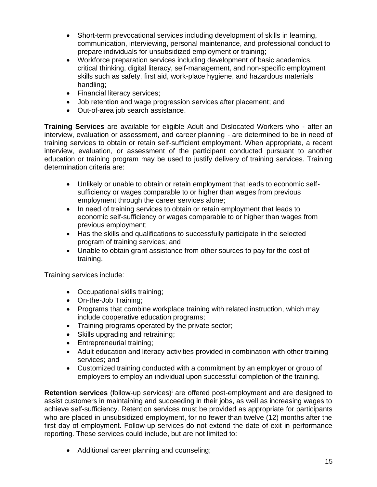- Short-term prevocational services including development of skills in learning, communication, interviewing, personal maintenance, and professional conduct to prepare individuals for unsubsidized employment or training;
- Workforce preparation services including development of basic academics, critical thinking, digital literacy, self-management, and non-specific employment skills such as safety, first aid, work-place hygiene, and hazardous materials handling;
- Financial literacy services;
- Job retention and wage progression services after placement; and
- Out-of-area job search assistance.

**Training Services** are available for eligible Adult and Dislocated Workers who - after an interview, evaluation or assessment, and career planning - are determined to be in need of training services to obtain or retain self-sufficient employment. When appropriate, a recent interview, evaluation, or assessment of the participant conducted pursuant to another education or training program may be used to justify delivery of training services. Training determination criteria are:

- Unlikely or unable to obtain or retain employment that leads to economic selfsufficiency or wages comparable to or higher than wages from previous employment through the career services alone;
- In need of training services to obtain or retain employment that leads to economic self-sufficiency or wages comparable to or higher than wages from previous employment;
- Has the skills and qualifications to successfully participate in the selected program of training services; and
- Unable to obtain grant assistance from other sources to pay for the cost of training.

Training services include:

- Occupational skills training;
- On-the-Job Training;
- Programs that combine workplace training with related instruction, which may include cooperative education programs;
- Training programs operated by the private sector;
- Skills upgrading and retraining;
- Entrepreneurial training;
- Adult education and literacy activities provided in combination with other training services; and
- Customized training conducted with a commitment by an employer or group of employers to employ an individual upon successful completion of the training.

**Retention services** (follow-up services[\)](#page-11-0)<sup>i</sup> are offered post-employment and are designed to assist customers in maintaining and succeeding in their jobs, as well as increasing wages to achieve self-sufficiency. Retention services must be provided as appropriate for participants who are placed in unsubsidized employment, for no fewer than twelve (12) months after the first day of employment. Follow-up services do not extend the date of exit in performance reporting. These services could include, but are not limited to:

• Additional career planning and counseling;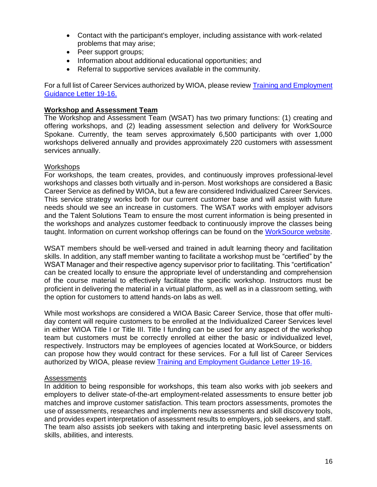- Contact with the participant's employer, including assistance with work-related problems that may arise;
- Peer support groups;
- Information about additional educational opportunities; and
- Referral to supportive services available in the community.

For a full list of Career Services authorized by WIOA, please review [Training and Employment](https://wdr.doleta.gov/directives/corr_doc.cfm?DOCN=3851)  [Guidance Letter 19-16.](https://wdr.doleta.gov/directives/corr_doc.cfm?DOCN=3851)

#### **Workshop and Assessment Team**

The Workshop and Assessment Team (WSAT) has two primary functions: (1) creating and offering workshops, and (2) leading assessment selection and delivery for WorkSource Spokane. Currently, the team serves approximately 6,500 participants with over 1,000 workshops delivered annually and provides approximately 220 customers with assessment services annually.

#### **Workshops**

For workshops, the team creates, provides, and continuously improves professional-level workshops and classes both virtually and in-person. Most workshops are considered a Basic Career Service as defined by WIOA, but a few are considered Individualized Career Services. This service strategy works both for our current customer base and will assist with future needs should we see an increase in customers. The WSAT works with employer advisors and the Talent Solutions Team to ensure the most current information is being presented in the workshops and analyzes customer feedback to continuously improve the classes being taught. Information on current workshop offerings can be found on the [WorkSource website.](https://www.worksourcewa.com/microsite/Content.aspx?appid=WAWORKSHOPS&pagetype=simple&seo=workshops-calendar&webname=worksource-spokane&area=Spokane)

WSAT members should be well-versed and trained in adult learning theory and facilitation skills. In addition, any staff member wanting to facilitate a workshop must be "certified" by the WSAT Manager and their respective agency supervisor prior to facilitating. This "certification" can be created locally to ensure the appropriate level of understanding and comprehension of the course material to effectively facilitate the specific workshop. Instructors must be proficient in delivering the material in a virtual platform, as well as in a classroom setting, with the option for customers to attend hands-on labs as well.

While most workshops are considered a WIOA Basic Career Service, those that offer multiday content will require customers to be enrolled at the Individualized Career Services level in either WIOA Title I or Title III. Title I funding can be used for any aspect of the workshop team but customers must be correctly enrolled at either the basic or individualized level, respectively. Instructors may be employees of agencies located at WorkSource, or bidders can propose how they would contract for these services. For a full list of Career Services authorized by WIOA, please review [Training and Employment Guidance Letter 19-16.](https://wdr.doleta.gov/directives/corr_doc.cfm?DOCN=3851)

#### Assessments

In addition to being responsible for workshops, this team also works with job seekers and employers to deliver state-of-the-art employment-related assessments to ensure better job matches and improve customer satisfaction. This team proctors assessments, promotes the use of assessments, researches and implements new assessments and skill discovery tools, and provides expert interpretation of assessment results to employers, job seekers, and staff. The team also assists job seekers with taking and interpreting basic level assessments on skills, abilities, and interests.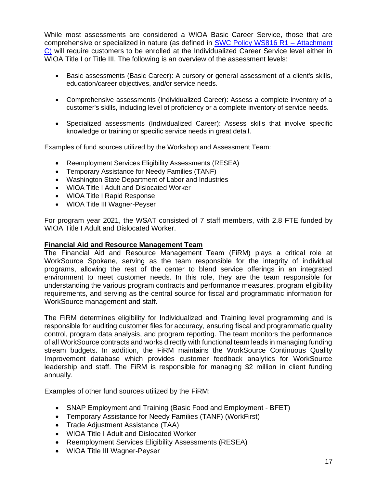While most assessments are considered a WIOA Basic Career Service, those that are comprehensive or specialized in nature (as defined in [SWC Policy WS816 R1 –](https://spokaneworkforce.org/workforce-resources/policies/) Attachment [C\)](https://spokaneworkforce.org/workforce-resources/policies/) will require customers to be enrolled at the Individualized Career Service level either in WIOA Title I or Title III. The following is an overview of the assessment levels:

- Basic assessments (Basic Career): A cursory or general assessment of a client's skills, education/career objectives, and/or service needs.
- Comprehensive assessments (Individualized Career): Assess a complete inventory of a customer's skills, including level of proficiency or a complete inventory of service needs.
- Specialized assessments (Individualized Career): Assess skills that involve specific knowledge or training or specific service needs in great detail.

Examples of fund sources utilized by the Workshop and Assessment Team:

- Reemployment Services Eligibility Assessments (RESEA)
- Temporary Assistance for Needy Families (TANF)
- Washington State Department of Labor and Industries
- WIOA Title I Adult and Dislocated Worker
- WIOA Title I Rapid Response
- WIOA Title III Wagner-Peyser

For program year 2021, the WSAT consisted of 7 staff members, with 2.8 FTE funded by WIOA Title I Adult and Dislocated Worker.

#### **Financial Aid and Resource Management Team**

The Financial Aid and Resource Management Team (FiRM) plays a critical role at WorkSource Spokane, serving as the team responsible for the integrity of individual programs, allowing the rest of the center to blend service offerings in an integrated environment to meet customer needs. In this role, they are the team responsible for understanding the various program contracts and performance measures, program eligibility requirements, and serving as the central source for fiscal and programmatic information for WorkSource management and staff.

The FiRM determines eligibility for Individualized and Training level programming and is responsible for auditing customer files for accuracy, ensuring fiscal and programmatic quality control, program data analysis, and program reporting. The team monitors the performance of all WorkSource contracts and works directly with functional team leads in managing funding stream budgets. In addition, the FiRM maintains the WorkSource Continuous Quality Improvement database which provides customer feedback analytics for WorkSource leadership and staff. The FiRM is responsible for managing \$2 million in client funding annually.

Examples of other fund sources utilized by the FiRM:

- SNAP Employment and Training (Basic Food and Employment BFET)
- Temporary Assistance for Needy Families (TANF) (WorkFirst)
- Trade Adjustment Assistance (TAA)
- WIOA Title I Adult and Dislocated Worker
- Reemployment Services Eligibility Assessments (RESEA)
- WIOA Title III Wagner-Peyser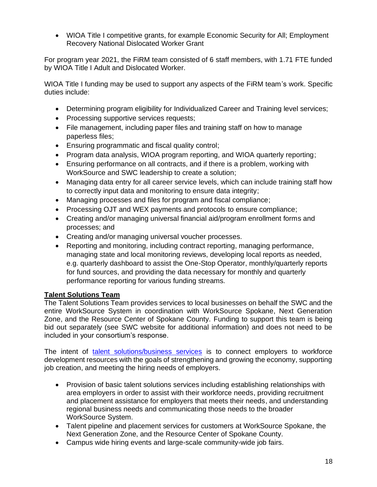• WIOA Title I competitive grants, for example Economic Security for All; Employment Recovery National Dislocated Worker Grant

For program year 2021, the FiRM team consisted of 6 staff members, with 1.71 FTE funded by WIOA Title I Adult and Dislocated Worker.

WIOA Title I funding may be used to support any aspects of the FiRM team's work. Specific duties include:

- Determining program eligibility for Individualized Career and Training level services;
- Processing supportive services requests;
- File management, including paper files and training staff on how to manage paperless files;
- Ensuring programmatic and fiscal quality control;
- Program data analysis, WIOA program reporting, and WIOA quarterly reporting;
- Ensuring performance on all contracts, and if there is a problem, working with WorkSource and SWC leadership to create a solution;
- Managing data entry for all career service levels, which can include training staff how to correctly input data and monitoring to ensure data integrity;
- Managing processes and files for program and fiscal compliance;
- Processing OJT and WEX payments and protocols to ensure compliance;
- Creating and/or managing universal financial aid/program enrollment forms and processes; and
- Creating and/or managing universal voucher processes.
- Reporting and monitoring, including contract reporting, managing performance, managing state and local monitoring reviews, developing local reports as needed, e.g. quarterly dashboard to assist the One-Stop Operator, monthly/quarterly reports for fund sources, and providing the data necessary for monthly and quarterly performance reporting for various funding streams.

## **Talent Solutions Team**

The Talent Solutions Team provides services to local businesses on behalf the SWC and the entire WorkSource System in coordination with WorkSource Spokane, Next Generation Zone, and the Resource Center of Spokane County. Funding to support this team is being bid out separately (see SWC website for additional information) and does not need to be included in your consortium's response.

The intent of [talent solutions/business services](https://worksourcespokane.com/employers) is to connect employers to workforce development resources with the goals of strengthening and growing the economy, supporting job creation, and meeting the hiring needs of employers.

- Provision of basic talent solutions services including establishing relationships with area employers in order to assist with their workforce needs, providing recruitment and placement assistance for employers that meets their needs, and understanding regional business needs and communicating those needs to the broader WorkSource System.
- Talent pipeline and placement services for customers at WorkSource Spokane, the Next Generation Zone, and the Resource Center of Spokane County.
- Campus wide hiring events and large-scale community-wide job fairs.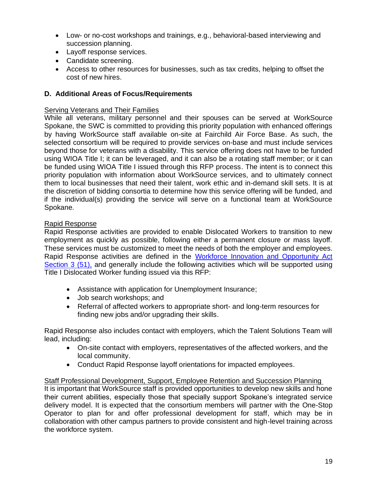- Low- or no-cost workshops and trainings, e.g., behavioral-based interviewing and succession planning.
- Layoff [response](http://wdcspokane.com/layoff-response) services.
- Candidate screening.
- Access to other resources for businesses, such as tax credits, helping to offset the cost of new hires.

## **D. Additional Areas of Focus/Requirements**

#### Serving Veterans and Their Families

While all veterans, military personnel and their spouses can be served at WorkSource Spokane, the SWC is committed to providing this priority population with enhanced offerings by having WorkSource staff available on-site at Fairchild Air Force Base. As such, the selected consortium will be required to provide services on-base and must include services beyond those for veterans with a disability. This service offering does not have to be funded using WIOA Title I; it can be leveraged, and it can also be a rotating staff member; or it can be funded using WIOA Title I issued through this RFP process. The intent is to connect this priority population with information about WorkSource services, and to ultimately connect them to local businesses that need their talent, work ethic and in-demand skill sets. It is at the discretion of bidding consortia to determine how this service offering will be funded, and if the individual(s) providing the service will serve on a functional team at WorkSource Spokane.

## Rapid Response

Rapid Response activities are provided to enable Dislocated Workers to transition to new employment as quickly as possible, following either a permanent closure or mass layoff. These services must be customized to meet the needs of both the employer and employees. Rapid Response activities are defined in the [Workforce Innovation and Opportunity Act](https://www.federalregister.gov/documents/2015/04/16/2015-05530/workforce-innovation-and-opportunity-act-notice-of-proposed-rulemaking)  [Section 3 \(51\),](https://www.federalregister.gov/documents/2015/04/16/2015-05530/workforce-innovation-and-opportunity-act-notice-of-proposed-rulemaking) and generally include the following activities which will be supported using Title I Dislocated Worker funding issued via this RFP:

- Assistance with application for Unemployment Insurance;
- Job search workshops; and
- Referral of affected workers to appropriate short- and long-term resources for finding new jobs and/or upgrading their skills.

Rapid Response also includes contact with employers, which the Talent Solutions Team will lead, including:

- On-site contact with employers, representatives of the affected workers, and the local community.
- Conduct Rapid Response layoff orientations for impacted employees.

#### Staff Professional Development, Support, Employee Retention and Succession Planning

It is important that WorkSource staff is provided opportunities to develop new skills and hone their current abilities, especially those that specially support Spokane's integrated service delivery model. It is expected that the consortium members will partner with the One-Stop Operator to plan for and offer professional development for staff, which may be in collaboration with other campus partners to provide consistent and high-level training across the workforce system.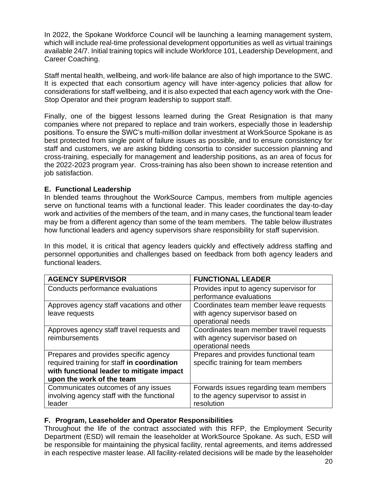In 2022, the Spokane Workforce Council will be launching a learning management system, which will include real-time professional development opportunities as well as virtual trainings available 24/7. Initial training topics will include Workforce 101, Leadership Development, and Career Coaching.

Staff mental health, wellbeing, and work-life balance are also of high importance to the SWC. It is expected that each consortium agency will have inter-agency policies that allow for considerations for staff wellbeing, and it is also expected that each agency work with the One-Stop Operator and their program leadership to support staff.

Finally, one of the biggest lessons learned during the Great Resignation is that many companies where not prepared to replace and train workers, especially those in leadership positions. To ensure the SWC's multi-million dollar investment at WorkSource Spokane is as best protected from single point of failure issues as possible, and to ensure consistency for staff and customers, we are asking bidding consortia to consider succession planning and cross-training, especially for management and leadership positions, as an area of focus for the 2022-2023 program year. Cross-training has also been shown to increase retention and job satisfaction.

#### **E. Functional Leadership**

In blended teams throughout the WorkSource Campus, members from multiple agencies serve on functional teams with a functional leader. This leader coordinates the day-to-day work and activities of the members of the team, and in many cases, the functional team leader may be from a different agency than some of the team members. The table below illustrates how functional leaders and agency supervisors share responsibility for staff supervision.

In this model, it is critical that agency leaders quickly and effectively address staffing and personnel opportunities and challenges based on feedback from both agency leaders and functional leaders.

| <b>AGENCY SUPERVISOR</b>                    | <b>FUNCTIONAL LEADER</b>                |
|---------------------------------------------|-----------------------------------------|
| Conducts performance evaluations            | Provides input to agency supervisor for |
|                                             | performance evaluations                 |
| Approves agency staff vacations and other   | Coordinates team member leave requests  |
| leave requests                              | with agency supervisor based on         |
|                                             | operational needs                       |
| Approves agency staff travel requests and   | Coordinates team member travel requests |
| reimbursements                              | with agency supervisor based on         |
|                                             | operational needs                       |
| Prepares and provides specific agency       | Prepares and provides functional team   |
| required training for staff in coordination | specific training for team members      |
| with functional leader to mitigate impact   |                                         |
| upon the work of the team                   |                                         |
| Communicates outcomes of any issues         | Forwards issues regarding team members  |
| involving agency staff with the functional  | to the agency supervisor to assist in   |
| leader                                      | resolution                              |

## **F. Program, Leaseholder and Operator Responsibilities**

Throughout the life of the contract associated with this RFP, the Employment Security Department (ESD) will remain the leaseholder at WorkSource Spokane. As such, ESD will be responsible for maintaining the physical facility, rental agreements, and items addressed in each respective master lease. All facility-related decisions will be made by the leaseholder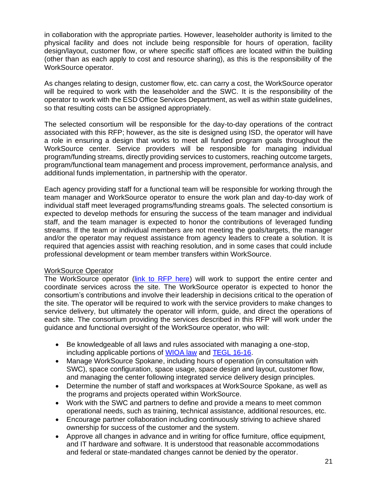in collaboration with the appropriate parties. However, leaseholder authority is limited to the physical facility and does not include being responsible for hours of operation, facility design/layout, customer flow, or where specific staff offices are located within the building (other than as each apply to cost and resource sharing), as this is the responsibility of the WorkSource operator.

As changes relating to design, customer flow, etc. can carry a cost, the WorkSource operator will be required to work with the leaseholder and the SWC. It is the responsibility of the operator to work with the ESD Office Services Department, as well as within state guidelines, so that resulting costs can be assigned appropriately.

The selected consortium will be responsible for the day-to-day operations of the contract associated with this RFP; however, as the site is designed using ISD, the operator will have a role in ensuring a design that works to meet all funded program goals throughout the WorkSource center. Service providers will be responsible for managing individual program/funding streams, directly providing services to customers, reaching outcome targets, program/functional team management and process improvement, performance analysis, and additional funds implementation, in partnership with the operator.

Each agency providing staff for a functional team will be responsible for working through the team manager and WorkSource operator to ensure the work plan and day-to-day work of individual staff meet leveraged programs/funding streams goals. The selected consortium is expected to develop methods for ensuring the success of the team manager and individual staff, and the team manager is expected to honor the contributions of leveraged funding streams. If the team or individual members are not meeting the goals/targets, the manager and/or the operator may request assistance from agency leaders to create a solution. It is required that agencies assist with reaching resolution, and in some cases that could include professional development or team member transfers within WorkSource.

## WorkSource Operator

The WorkSource operator [\(link to RFP here\)](https://spokaneworkforce.org/workforce-resources/rfp/) will work to support the entire center and coordinate services across the site. The WorkSource operator is expected to honor the consortium's contributions and involve their leadership in decisions critical to the operation of the site. The operator will be required to work with the service providers to make changes to service delivery, but ultimately the operator will inform, guide, and direct the operations of each site. The consortium providing the services described in this RFP will work under the guidance and functional oversight of the WorkSource operator, who will:

- Be knowledgeable of all laws and rules associated with managing a one-stop, including applicable portions of [WIOA law](https://www.doleta.gov/wioa/) and [TEGL 16-16.](https://wdr.doleta.gov/directives/attach/TEGL/TEGL_16-16_Acc.pdf)
- Manage WorkSource Spokane, including hours of operation (in consultation with SWC), space configuration, space usage, space design and layout, customer flow, and managing the center following integrated service delivery design principles.
- Determine the number of staff and workspaces at WorkSource Spokane, as well as the programs and projects operated within WorkSource.
- Work with the SWC and partners to define and provide a means to meet common operational needs, such as training, technical assistance, additional resources, etc.
- Encourage partner collaboration including continuously striving to achieve shared ownership for success of the customer and the system.
- Approve all changes in advance and in writing for office furniture, office equipment, and IT hardware and software. It is understood that reasonable accommodations and federal or state-mandated changes cannot be denied by the operator.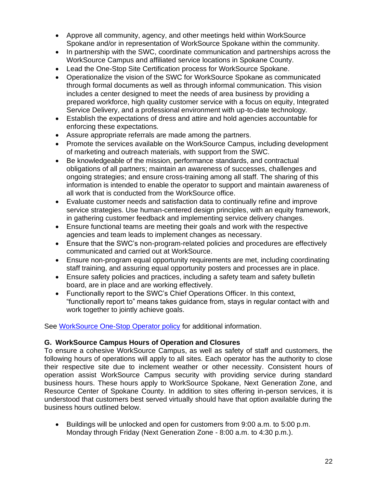- Approve all community, agency, and other meetings held within WorkSource Spokane and/or in representation of WorkSource Spokane within the community.
- In partnership with the SWC, coordinate communication and partnerships across the WorkSource Campus and affiliated service locations in Spokane County.
- Lead the One-Stop Site Certification process for WorkSource Spokane.
- Operationalize the vision of the SWC for WorkSource Spokane as communicated through formal documents as well as through informal communication. This vision includes a center designed to meet the needs of area business by providing a prepared workforce, high quality customer service with a focus on equity, Integrated Service Delivery, and a professional environment with up-to-date technology.
- Establish the expectations of dress and attire and hold agencies accountable for enforcing these expectations.
- Assure appropriate referrals are made among the partners.
- Promote the services available on the WorkSource Campus, including development of marketing and outreach materials, with support from the SWC.
- Be knowledgeable of the mission, performance standards, and contractual obligations of all partners; maintain an awareness of successes, challenges and ongoing strategies; and ensure cross-training among all staff. The sharing of this information is intended to enable the operator to support and maintain awareness of all work that is conducted from the WorkSource office.
- Evaluate customer needs and satisfaction data to continually refine and improve service strategies. Use human-centered design principles, with an equity framework, in gathering customer feedback and implementing service delivery changes.
- Ensure functional teams are meeting their goals and work with the respective agencies and team leads to implement changes as necessary.
- Ensure that the SWC's non-program-related policies and procedures are effectively communicated and carried out at WorkSource.
- Ensure non-program equal opportunity requirements are met, including coordinating staff training, and assuring equal opportunity posters and processes are in place.
- Ensure safety policies and practices, including a safety team and safety bulletin board, are in place and are working effectively.
- Functionally report to the SWC's Chief Operations Officer. In this context, "functionally report to" means takes guidance from, stays in regular contact with and work together to jointly achieve goals.

See [WorkSource One-Stop Operator policy](https://spokaneworkforce.org/wp-content/uploads/2022/02/One-Stop-Operator-R2_Feb-2022.pdf) for additional information.

## **G. WorkSource Campus Hours of Operation and Closures**

To ensure a cohesive WorkSource Campus, as well as safety of staff and customers, the following hours of operations will apply to all sites. Each operator has the authority to close their respective site due to inclement weather or other necessity. Consistent hours of operation assist WorkSource Campus security with providing service during standard business hours. These hours apply to WorkSource Spokane, Next Generation Zone, and Resource Center of Spokane County. In addition to sites offering in-person services, it is understood that customers best served virtually should have that option available during the business hours outlined below.

• Buildings will be unlocked and open for customers from 9:00 a.m. to 5:00 p.m. Monday through Friday (Next Generation Zone - 8:00 a.m. to 4:30 p.m.).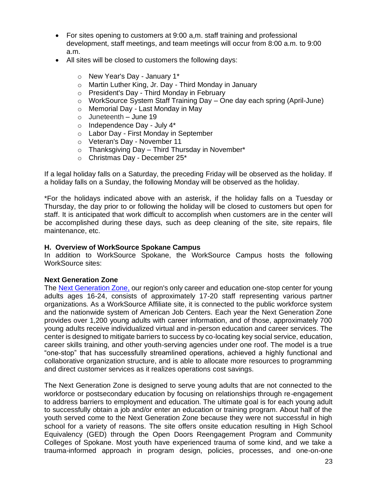- For sites opening to customers at 9:00 a,m. staff training and professional development, staff meetings, and team meetings will occur from 8:00 a.m. to 9:00 a.m.
- All sites will be closed to customers the following days:
	- o New Year's Day January 1\*
	- o Martin Luther King, Jr. Day Third Monday in January
	- o President's Day Third Monday in February
	- o WorkSource System Staff Training Day One day each spring (April-June)
	- o Memorial Day Last Monday in May
	- o Juneteenth June 19
	- $\circ$  Independence Day July 4\*
	- o Labor Day First Monday in September
	- o Veteran's Day November 11
	- $\circ$  Thanksgiving Day Third Thursday in November\*
	- o Christmas Day December 25\*

If a legal holiday falls on a Saturday, the preceding Friday will be observed as the holiday. If a holiday falls on a Sunday, the following Monday will be observed as the holiday.

\*For the holidays indicated above with an asterisk, if the holiday falls on a Tuesday or Thursday, the day prior to or following the holiday will be closed to customers but open for staff. It is anticipated that work difficult to accomplish when customers are in the center will be accomplished during these days, such as deep cleaning of the site, site repairs, file maintenance, etc.

#### **H. Overview of WorkSource Spokane Campus**

In addition to WorkSource Spokane, the WorkSource Campus hosts the following WorkSource sites:

#### **Next Generation Zone**

The [Next Generation Zone,](https://nextgenzone.org/) our region's only career and education one-stop center for young adults ages 16-24, consists of approximately 17-20 staff representing various partner organizations. As a WorkSource Affiliate site, it is connected to the public workforce system and the nationwide system of American Job Centers. Each year the Next Generation Zone provides over 1,200 young adults with career information, and of those, approximately 700 young adults receive individualized virtual and in-person education and career services. The center is designed to mitigate barriers to success by co-locating key social service, education, career skills training, and other youth-serving agencies under one roof. The model is a true "one-stop" that has successfully streamlined operations, achieved a highly functional and collaborative organization structure, and is able to allocate more resources to programming and direct customer services as it realizes operations cost savings.

The Next Generation Zone is designed to serve young adults that are not connected to the workforce or postsecondary education by focusing on relationships through re-engagement to address barriers to employment and education. The ultimate goal is for each young adult to successfully obtain a job and/or enter an education or training program. About half of the youth served come to the Next Generation Zone because they were not successful in high school for a variety of reasons. The site offers onsite education resulting in High School Equivalency (GED) through the Open Doors Reengagement Program and Community Colleges of Spokane. Most youth have experienced trauma of some kind, and we take a trauma-informed approach in program design, policies, processes, and one-on-one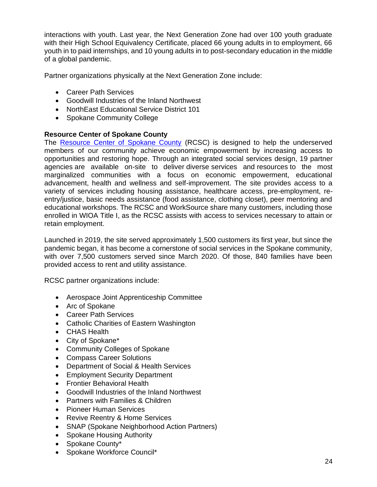interactions with youth. Last year, the Next Generation Zone had over 100 youth graduate with their High School Equivalency Certificate, placed 66 young adults in to employment, 66 youth in to paid internships, and 10 young adults in to post-secondary education in the middle of a global pandemic.

Partner organizations physically at the Next Generation Zone include:

- Career Path Services
- Goodwill Industries of the Inland Northwest
- NorthEast Educational Service District 101
- Spokane Community College

#### **Resource Center of Spokane County**

The [Resource Center of Spokane County](https://spokaneresourcecenter.org/) (RCSC) is designed to help the underserved members of our community achieve economic empowerment by increasing access to opportunities and restoring hope. Through an integrated social services design, [19](https://spokaneresourcecenter.org/agency-partners) partner agencies are available on-site to deliver diverse services and resources to the most marginalized communities with a focus on economic empowerment, educational advancement, health and wellness and self-improvement. The site provides access to a variety of services including housing assistance, healthcare access, pre-employment, reentry/justice, basic needs assistance (food assistance, clothing closet), peer mentoring and educational workshops. The RCSC and WorkSource share many customers, including those enrolled in WIOA Title I, as the RCSC assists with access to services necessary to attain or retain employment.

Launched in 2019, the site served approximately 1,500 customers its first year, but since the pandemic began, it has become a cornerstone of social services in the Spokane community, with over 7,500 customers served since March 2020. Of those, 840 families have been provided access to rent and utility assistance.

RCSC partner organizations include:

- Aerospace Joint Apprenticeship Committee
- Arc of Spokane
- Career Path Services
- Catholic Charities of Eastern Washington
- CHAS Health
- City of Spokane\*
- Community Colleges of Spokane
- Compass Career Solutions
- Department of Social & Health Services
- Employment Security Department
- Frontier Behavioral Health
- Goodwill Industries of the Inland Northwest
- Partners with Families & Children
- Pioneer Human Services
- Revive Reentry & Home Services
- SNAP (Spokane Neighborhood Action Partners)
- Spokane Housing Authority
- Spokane County\*
- Spokane Workforce Council\*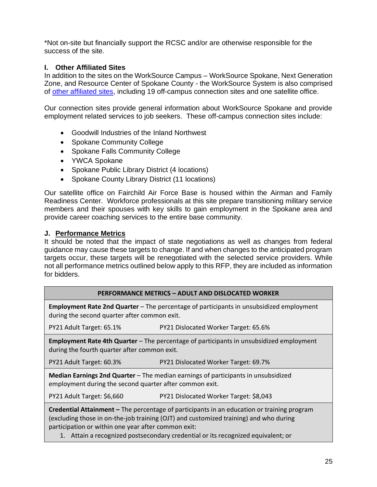\*Not on-site but financially support the RCSC and/or are otherwise responsible for the success of the site.

## **I. Other Affiliated Sites**

In addition to the sites on the WorkSource Campus – WorkSource Spokane, Next Generation Zone, and Resource Center of Spokane County - the WorkSource System is also comprised of [other affiliated sites,](https://worksourcespokane.com/partners) including 19 off-campus connection sites and one satellite office.

Our connection sites provide general information about WorkSource Spokane and provide employment related services to job seekers. These off-campus connection sites include:

- Goodwill Industries of the Inland Northwest
- Spokane Community College
- Spokane Falls Community College
- YWCA Spokane
- Spokane Public Library District (4 locations)
- Spokane County Library District (11 locations)

Our satellite office on Fairchild Air Force Base is housed within the Airman and Family Readiness Center. Workforce professionals at this site prepare transitioning military service members and their spouses with key skills to gain employment in the Spokane area and provide career coaching services to the entire base community.

## **J. Performance Metrics**

It should be noted that the impact of state negotiations as well as changes from federal guidance may cause these targets to change. If and when changes to the anticipated program targets occur, these targets will be renegotiated with the selected service providers. While not all performance metrics outlined below apply to this RFP, they are included as information for bidders.

#### **PERFORMANCE METRICS – ADULT AND DISLOCATED WORKER**

**Employment Rate 2nd Quarter** – The percentage of participants in unsubsidized employment during the second quarter after common exit.

PY21 Adult Target: 65.1% PY21 Dislocated Worker Target: 65.6%

**Employment Rate 4th Quarter** – The percentage of participants in unsubsidized employment during the fourth quarter after common exit.

PY21 Adult Target: 60.3% PY21 Dislocated Worker Target: 69.7%

**Median Earnings 2nd Quarter** – The median earnings of participants in unsubsidized employment during the second quarter after common exit.

PY21 Adult Target: \$6,660 PY21 Dislocated Worker Target: \$8,043

**Credential Attainment –** The percentage of participants in an education or training program (excluding those in on-the-job training (OJT) and customized training) and who during participation or within one year after common exit:

1. Attain a recognized postsecondary credential or its recognized equivalent; or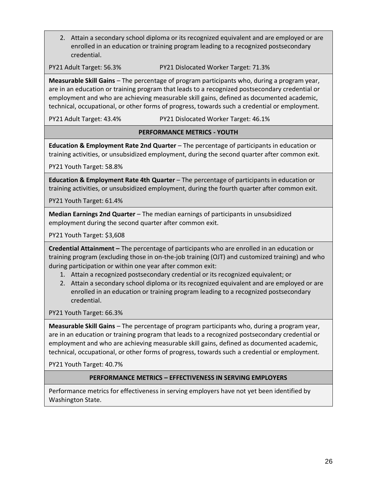2. Attain a secondary school diploma or its recognized equivalent and are employed or are enrolled in an education or training program leading to a recognized postsecondary credential.

PY21 Adult Target: 56.3% PY21 Dislocated Worker Target: 71.3%

**Measurable Skill Gains** – The percentage of program participants who, during a program year, are in an education or training program that leads to a recognized postsecondary credential or employment and who are achieving measurable skill gains, defined as documented academic, technical, occupational, or other forms of progress, towards such a credential or employment.

PY21 Adult Target: 43.4% PY21 Dislocated Worker Target: 46.1%

#### **PERFORMANCE METRICS - YOUTH**

**Education & Employment Rate 2nd Quarter** – The percentage of participants in education or training activities, or unsubsidized employment, during the second quarter after common exit.

PY21 Youth Target: 58.8%

**Education & Employment Rate 4th Quarter** – The percentage of participants in education or training activities, or unsubsidized employment, during the fourth quarter after common exit.

PY21 Youth Target: 61.4%

**Median Earnings 2nd Quarter** – The median earnings of participants in unsubsidized employment during the second quarter after common exit.

PY21 Youth Target: \$3,608

**Credential Attainment –** The percentage of participants who are enrolled in an education or training program (excluding those in on-the-job training (OJT) and customized training) and who during participation or within one year after common exit:

- 1. Attain a recognized postsecondary credential or its recognized equivalent; or
- 2. Attain a secondary school diploma or its recognized equivalent and are employed or are enrolled in an education or training program leading to a recognized postsecondary credential.

PY21 Youth Target: 66.3%

**Measurable Skill Gains** – The percentage of program participants who, during a program year, are in an education or training program that leads to a recognized postsecondary credential or employment and who are achieving measurable skill gains, defined as documented academic, technical, occupational, or other forms of progress, towards such a credential or employment.

PY21 Youth Target: 40.7%

#### **PERFORMANCE METRICS – EFFECTIVENESS IN SERVING EMPLOYERS**

Performance metrics for effectiveness in serving employers have not yet been identified by Washington State.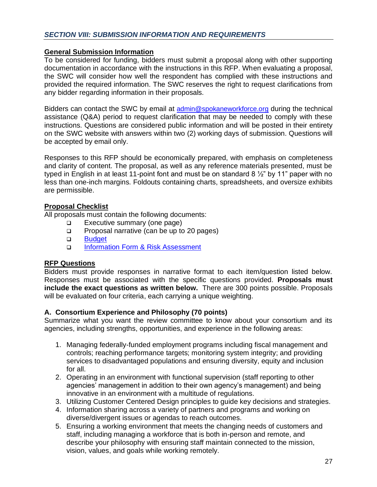#### **General Submission Information**

To be considered for funding, bidders must submit a proposal along with other supporting documentation in accordance with the instructions in this RFP. When evaluating a proposal, the SWC will consider how well the respondent has complied with these instructions and provided the required information. The SWC reserves the right to request clarifications from any bidder regarding information in their proposals.

Bidders can contact the SWC by email at [admin@spokaneworkforce.org](mailto:admin@spokaneworkforce.org) during the technical assistance (Q&A) period to request clarification that may be needed to comply with these instructions. Questions are considered public information and will be posted in their entirety on the SWC website with answers within two (2) working days of submission. Questions will be accepted by email only.

Responses to this RFP should be economically prepared, with emphasis on completeness and clarity of content. The proposal, as well as any reference materials presented, must be typed in English in at least 11-point font and must be on standard 8 ½" by 11" paper with no less than one-inch margins. Foldouts containing charts, spreadsheets, and oversize exhibits are permissible.

## **Proposal Checklist**

All proposals must contain the following documents:

- ❑ Executive summary (one page)
- ❑ Proposal narrative (can be up to 20 pages)
- ❑ [Budget](https://spokaneworkforce.org/wp-content/uploads/2022/01/Sub-budget-template-With-Direct-Client-Services.xlsx)
- ❑ [Information Form & Risk Assessment](https://spokaneworkforce.org/wp-content/uploads/2022/01/Standard-Applicant-Pre-Award-Risk-Assessment.docx)

## **RFP Questions**

Bidders must provide responses in narrative format to each item/question listed below. Responses must be associated with the specific questions provided. **Proposals must include the exact questions as written below.** There are 300 points possible. Proposals will be evaluated on four criteria, each carrying a unique weighting.

## **A. Consortium Experience and Philosophy (70 points)**

Summarize what you want the review committee to know about your consortium and its agencies, including strengths, opportunities, and experience in the following areas:

- 1. Managing federally-funded employment programs including fiscal management and controls; reaching performance targets; monitoring system integrity; and providing services to disadvantaged populations and ensuring diversity, equity and inclusion for all.
- 2. Operating in an environment with functional supervision (staff reporting to other agencies' management in addition to their own agency's management) and being innovative in an environment with a multitude of regulations.
- 3. Utilizing Customer Centered Design principles to guide key decisions and strategies.
- 4. Information sharing across a variety of partners and programs and working on diverse/divergent issues or agendas to reach outcomes.
- 5. Ensuring a working environment that meets the changing needs of customers and staff, including managing a workforce that is both in-person and remote, and describe your philosophy with ensuring staff maintain connected to the mission, vision, values, and goals while working remotely.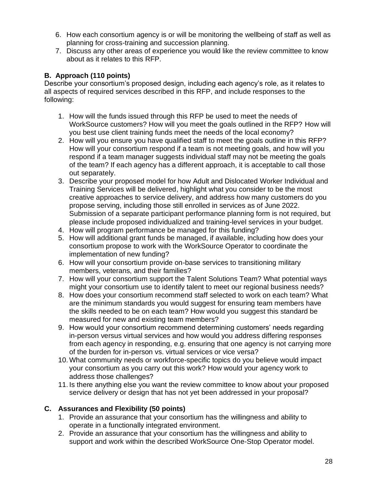- 6. How each consortium agency is or will be monitoring the wellbeing of staff as well as planning for cross-training and succession planning.
- 7. Discuss any other areas of experience you would like the review committee to know about as it relates to this RFP.

## **B. Approach (110 points)**

Describe your consortium's proposed design, including each agency's role, as it relates to all aspects of required services described in this RFP, and include responses to the following:

- 1. How will the funds issued through this RFP be used to meet the needs of WorkSource customers? How will you meet the goals outlined in the RFP? How will you best use client training funds meet the needs of the local economy?
- 2. How will you ensure you have qualified staff to meet the goals outline in this RFP? How will your consortium respond if a team is not meeting goals, and how will you respond if a team manager suggests individual staff may not be meeting the goals of the team? If each agency has a different approach, it is acceptable to call those out separately.
- 3. Describe your proposed model for how Adult and Dislocated Worker Individual and Training Services will be delivered, highlight what you consider to be the most creative approaches to service delivery, and address how many customers do you propose serving, including those still enrolled in services as of June 2022. Submission of a separate participant performance planning form is not required, but please include proposed individualized and training-level services in your budget.
- 4. How will program performance be managed for this funding?
- 5. How will additional grant funds be managed, if available, including how does your consortium propose to work with the WorkSource Operator to coordinate the implementation of new funding?
- 6. How will your consortium provide on-base services to transitioning military members, veterans, and their families?
- 7. How will your consortium support the Talent Solutions Team? What potential ways might your consortium use to identify talent to meet our regional business needs?
- 8. How does your consortium recommend staff selected to work on each team? What are the minimum standards you would suggest for ensuring team members have the skills needed to be on each team? How would you suggest this standard be measured for new and existing team members?
- 9. How would your consortium recommend determining customers' needs regarding in-person versus virtual services and how would you address differing responses from each agency in responding, e.g. ensuring that one agency is not carrying more of the burden for in-person vs. virtual services or vice versa?
- 10.What community needs or workforce-specific topics do you believe would impact your consortium as you carry out this work? How would your agency work to address those challenges?
- 11. Is there anything else you want the review committee to know about your proposed service delivery or design that has not yet been addressed in your proposal?

## **C. Assurances and Flexibility (50 points)**

- 1. Provide an assurance that your consortium has the willingness and ability to operate in a functionally integrated environment.
- 2. Provide an assurance that your consortium has the willingness and ability to support and work within the described WorkSource One-Stop Operator model.